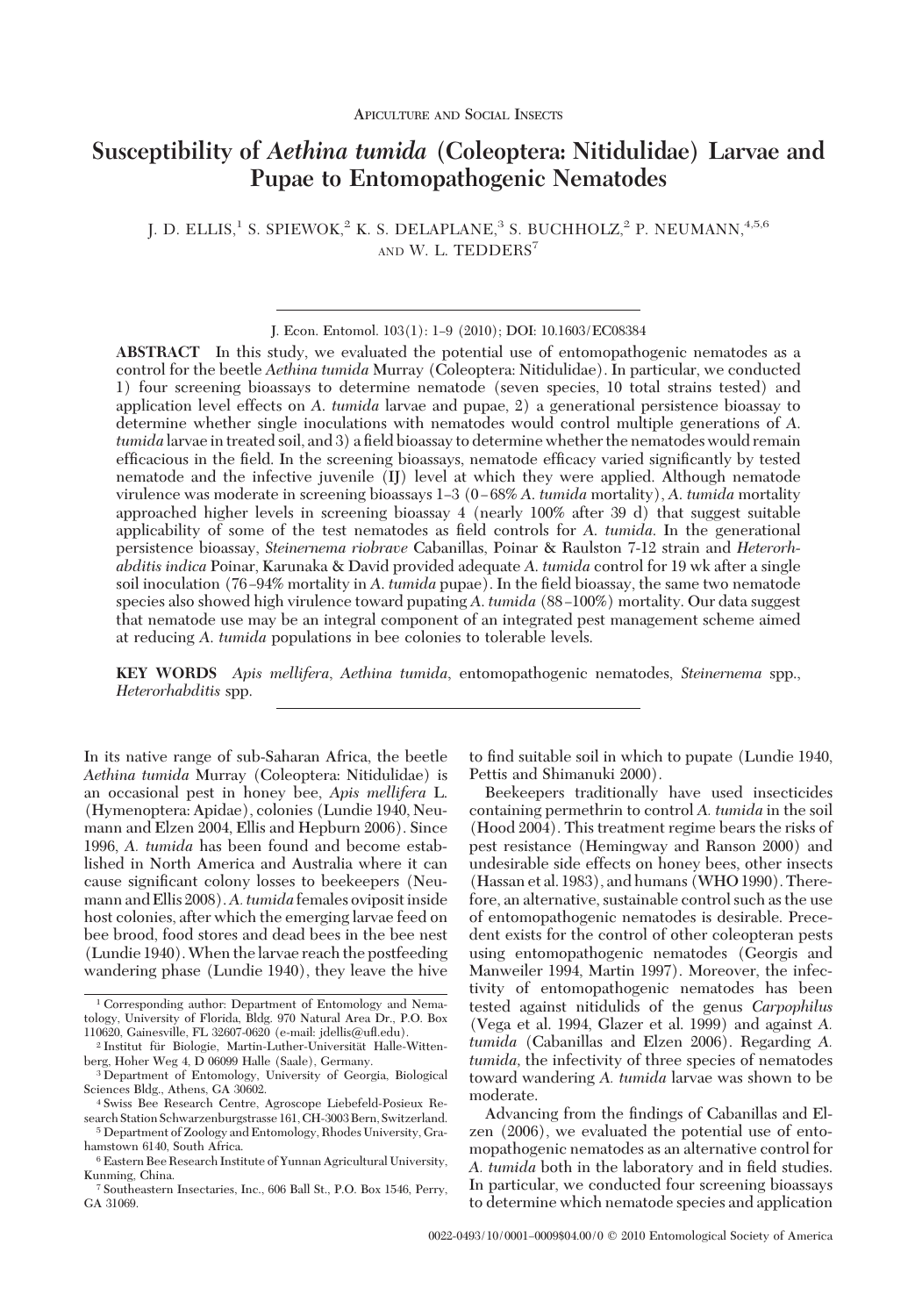# **Susceptibility of** *Aethina tumida* **(Coleoptera: Nitidulidae) Larvae and Pupae to Entomopathogenic Nematodes**

J. D. ELLIS,<sup>1</sup> S. SPIEWOK,<sup>2</sup> K. S. DELAPLANE,<sup>3</sup> S. BUCHHOLZ,<sup>2</sup> P. NEUMANN,<sup>4,5,6</sup> AND W. L. TEDDERS<sup>7</sup>

**ABSTRACT** In this study, we evaluated the potential use of entomopathogenic nematodes as a control for the beetle *Aethina tumida* Murray (Coleoptera: Nitidulidae). In particular, we conducted 1) four screening bioassays to determine nematode (seven species, 10 total strains tested) and application level effects on *A*. *tumida* larvae and pupae, 2) a generational persistence bioassay to determine whether single inoculations with nematodes would control multiple generations of *A*. *tumida* larvae in treated soil, and 3) a field bioassay to determine whether the nematodes would remain efficacious in the field. In the screening bioassays, nematode efficacy varied significantly by tested nematode and the infective juvenile (IJ) level at which they were applied. Although nematode virulence was moderate in screening bioassays 1Ð3 (0 Ð 68% *A*. *tumida* mortality), *A*. *tumida* mortality approached higher levels in screening bioassay 4 (nearly 100% after 39 d) that suggest suitable applicability of some of the test nematodes as field controls for A, tumida. In the generational persistence bioassay, *Steinernema riobrave* Cabanillas, Poinar & Raulston 7-12 strain and *Heterorhabditis indica* Poinar, Karunaka & David provided adequate *A*. *tumida* control for 19 wk after a single soil inoculation (76–94% mortality in A. *tumida* pupae). In the field bioassay, the same two nematode species also showed high virulence toward pupating A, *tumida* (88–100%) mortality. Our data suggest that nematode use may be an integral component of an integrated pest management scheme aimed at reducing *A*. *tumida* populations in bee colonies to tolerable levels.

**KEY WORDS** *Apis mellifera*, *Aethina tumida*, entomopathogenic nematodes, *Steinernema* spp., *Heterorhabditis* spp.

In its native range of sub-Saharan Africa, the beetle *Aethina tumida* Murray (Coleoptera: Nitidulidae) is an occasional pest in honey bee, *Apis mellifera* L. (Hymenoptera: Apidae), colonies (Lundie 1940, Neumann and Elzen 2004, Ellis and Hepburn 2006). Since 1996, *A. tumida* has been found and become established in North America and Australia where it can cause significant colony losses to beekeepers (Neumann and Ellis 2008). A. tumida females oviposit inside host colonies, after which the emerging larvae feed on bee brood, food stores and dead bees in the bee nest (Lundie 1940).When the larvae reach the postfeeding wandering phase (Lundie 1940), they leave the hive

to find suitable soil in which to pupate (Lundie 1940, Pettis and Shimanuki 2000).

Beekeepers traditionally have used insecticides containing permethrin to control *A. tumida* in the soil (Hood 2004). This treatment regime bears the risks of pest resistance (Hemingway and Ranson 2000) and undesirable side effects on honey bees, other insects (Hassan et al. 1983), and humans (WHO 1990). Therefore, an alternative, sustainable control such as the use of entomopathogenic nematodes is desirable. Precedent exists for the control of other coleopteran pests using entomopathogenic nematodes (Georgis and Manweiler 1994, Martin 1997). Moreover, the infectivity of entomopathogenic nematodes has been tested against nitidulids of the genus *Carpophilus* (Vega et al. 1994, Glazer et al. 1999) and against *A. tumida* (Cabanillas and Elzen 2006). Regarding *A. tumida,* the infectivity of three species of nematodes toward wandering *A. tumida* larvae was shown to be moderate.

Advancing from the findings of Cabanillas and Elzen (2006), we evaluated the potential use of entomopathogenic nematodes as an alternative control for A. tumida both in the laboratory and in field studies. In particular, we conducted four screening bioassays to determine which nematode species and application

J. Econ. Entomol. 103(1): 1-9 (2010); DOI: 10.1603/EC08384

<sup>1</sup> Corresponding author: Department of Entomology and Nematology, University of Florida, Bldg. 970 Natural Area Dr., P.O. Box 110620, Gainesville, FL 32607-0620 (e-mail: jdellis@uß.edu).

<sup>&</sup>lt;sup>2</sup> Institut für Biologie, Martin-Luther-Universität Halle-Wittenberg, Hoher Weg 4, D 06099 Halle (Saale), Germany.

<sup>3</sup> Department of Entomology, University of Georgia, Biological Sciences Bldg., Athens, GA 30602.

<sup>4</sup> Swiss Bee Research Centre, Agroscope Liebefeld-Posieux Research Station Schwarzenburgstrasse 161, CH-3003 Bern, Switzerland.

<sup>5</sup> Department of Zoology and Entomology, Rhodes University, Grahamstown 6140, South Africa.

<sup>6</sup> Eastern Bee Research Institute of Yunnan Agricultural University, Kunming, China.

<sup>7</sup> Southeastern Insectaries, Inc., 606 Ball St., P.O. Box 1546, Perry, GA 31069.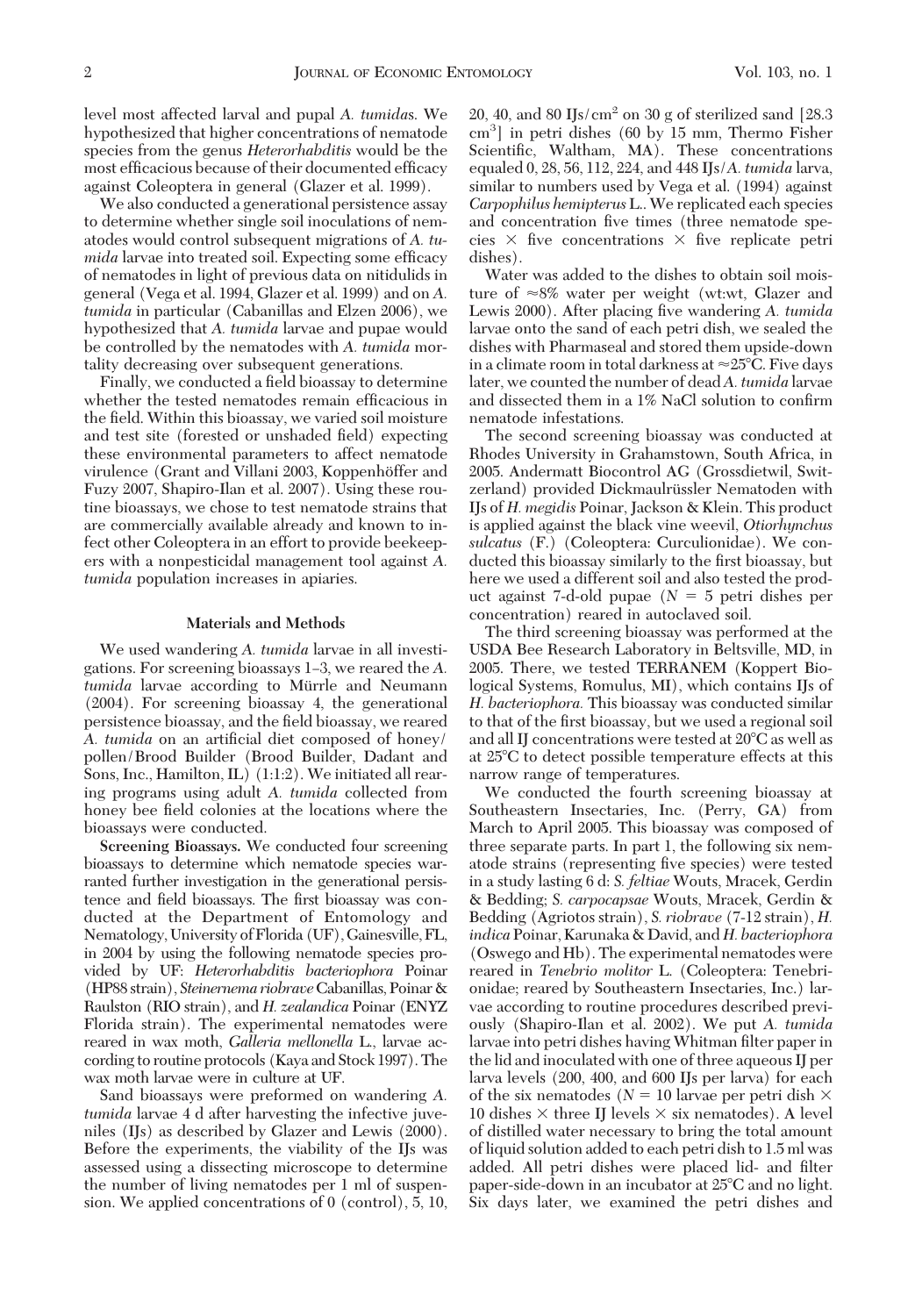level most affected larval and pupal *A. tumida*s. We hypothesized that higher concentrations of nematode species from the genus *Heterorhabditis* would be the most efficacious because of their documented efficacy against Coleoptera in general (Glazer et al. 1999).

We also conducted a generational persistence assay to determine whether single soil inoculations of nematodes would control subsequent migrations of *A. tumida* larvae into treated soil. Expecting some efficacy of nematodes in light of previous data on nitidulids in general (Vega et al. 1994, Glazer et al. 1999) and on *A. tumida* in particular (Cabanillas and Elzen 2006), we hypothesized that *A. tumida* larvae and pupae would be controlled by the nematodes with *A. tumida* mortality decreasing over subsequent generations.

Finally, we conducted a field bioassay to determine whether the tested nematodes remain efficacious in the field. Within this bioassay, we varied soil moisture and test site (forested or unshaded field) expecting these environmental parameters to affect nematode virulence (Grant and Villani 2003, Koppenhöffer and Fuzy 2007, Shapiro-Ilan et al. 2007). Using these routine bioassays, we chose to test nematode strains that are commercially available already and known to infect other Coleoptera in an effort to provide beekeepers with a nonpesticidal management tool against *A. tumida* population increases in apiaries.

# **Materials and Methods**

We used wandering *A. tumida* larvae in all investigations. For screening bioassays 1–3, we reared the A. *tumida* larvae according to Mürrle and Neumann (2004). For screening bioassay 4, the generational persistence bioassay, and the field bioassay, we reared *A. tumida* on an artificial diet composed of honey/ pollen/Brood Builder (Brood Builder, Dadant and Sons, Inc., Hamilton, IL) (1:1:2). We initiated all rearing programs using adult *A. tumida* collected from honey bee field colonies at the locations where the bioassays were conducted.

**Screening Bioassays.** We conducted four screening bioassays to determine which nematode species warranted further investigation in the generational persistence and field bioassays. The first bioassay was conducted at the Department of Entomology and Nematology, University ofFlorida (UF),Gainesville,FL, in 2004 by using the following nematode species provided by UF: *Heterorhabditis bacteriophora* Poinar (HP88 strain), *Steinernema riobrave*Cabanillas, Poinar& Raulston (RIO strain), and *H. zealandica* Poinar (ENYZ Florida strain). The experimental nematodes were reared in wax moth, *Galleria mellonella* L., larvae according to routine protocols (Kaya and Stock 1997). The wax moth larvae were in culture at UF.

Sand bioassays were preformed on wandering *A. tumida* larvae 4 d after harvesting the infective juveniles (IJs) as described by Glazer and Lewis (2000). Before the experiments, the viability of the IJs was assessed using a dissecting microscope to determine the number of living nematodes per 1 ml of suspension. We applied concentrations of 0 (control), 5, 10, 20, 40, and 80 IJs/cm<sup>2</sup> on 30 g of sterilized sand [28.3] cm3 ] in petri dishes (60 by 15 mm, Thermo Fisher Scientific, Waltham, MA). These concentrations equaled 0, 28, 56, 112, 224, and 448 IJs/*A. tumida* larva, similar to numbers used by Vega et al. (1994) against *Carpophilus hemipterus* L.. We replicated each species and concentration five times (three nematode species  $\times$  five concentrations  $\times$  five replicate petri dishes).

Water was added to the dishes to obtain soil moisture of  $\approx 8\%$  water per weight (wt:wt, Glazer and Lewis 2000). After placing five wandering *A. tumida* larvae onto the sand of each petri dish, we sealed the dishes with Pharmaseal and stored them upside-down in a climate room in total darkness at  $\approx$ 25°C. Five days later, we counted the number of dead*A. tumida* larvae and dissected them in a 1% NaCl solution to confirm nematode infestations.

The second screening bioassay was conducted at Rhodes University in Grahamstown, South Africa, in 2005. Andermatt Biocontrol AG (Grossdietwil, Switzerland) provided Dickmaulrüssler Nematoden with IJs of *H. megidis* Poinar, Jackson & Klein. This product is applied against the black vine weevil, *Otiorhynchus sulcatus* (F.) (Coleoptera: Curculionidae). We conducted this bioassay similarly to the first bioassay, but here we used a different soil and also tested the product against 7-d-old pupae  $(N = 5$  petri dishes per concentration) reared in autoclaved soil.

The third screening bioassay was performed at the USDA Bee Research Laboratory in Beltsville, MD, in 2005. There, we tested TERRANEM (Koppert Biological Systems, Romulus, MI), which contains IJs of *H. bacteriophora.* This bioassay was conducted similar to that of the first bioassay, but we used a regional soil and all IJ concentrations were tested at 20°C as well as at 25C to detect possible temperature effects at this narrow range of temperatures.

We conducted the fourth screening bioassay at Southeastern Insectaries, Inc. (Perry, GA) from March to April 2005. This bioassay was composed of three separate parts. In part 1, the following six nematode strains (representing five species) were tested in a study lasting 6 d: *S. feltiae* Wouts, Mracek, Gerdin & Bedding; *S. carpocapsae* Wouts, Mracek, Gerdin & Bedding (Agriotos strain), *S. riobrave* (7-12 strain), *H. indica*Poinar, Karunaka & David, and *H. bacteriophora* (Oswego and Hb). The experimental nematodes were reared in *Tenebrio molitor* L. (Coleoptera: Tenebrionidae; reared by Southeastern Insectaries, Inc.) larvae according to routine procedures described previously (Shapiro-Ilan et al. 2002). We put *A. tumida* larvae into petri dishes having Whitman filter paper in the lid and inoculated with one of three aqueous IJ per larva levels (200, 400, and 600 IJs per larva) for each of the six nematodes ( $N = 10$  larvae per petri dish  $\times$ 10 dishes  $\times$  three IJ levels  $\times$  six nematodes). A level of distilled water necessary to bring the total amount of liquid solution added to each petri dish to 1.5 ml was added. All petri dishes were placed lid- and filter paper-side-down in an incubator at 25°C and no light. Six days later, we examined the petri dishes and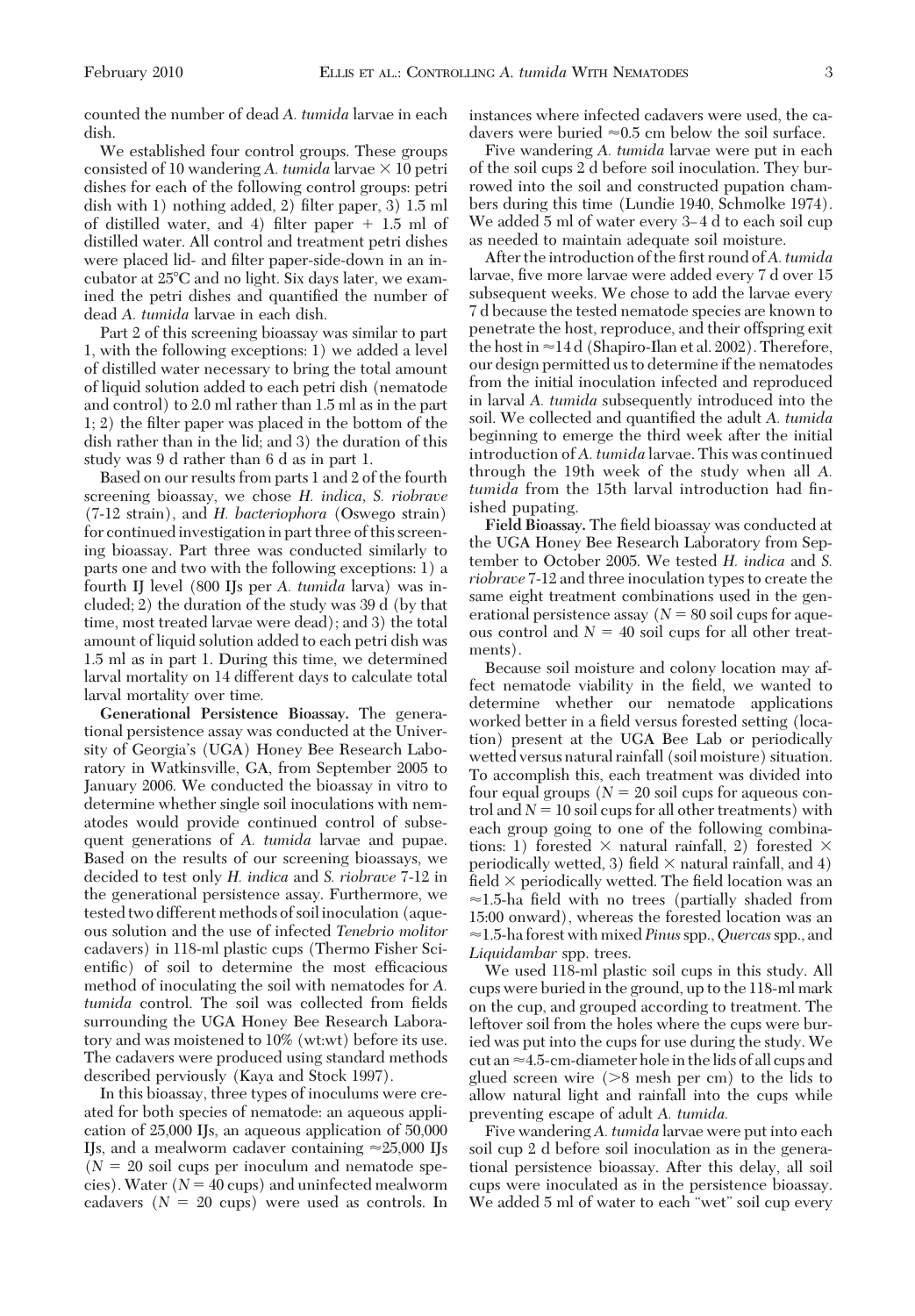counted the number of dead *A. tumida* larvae in each dish.

We established four control groups. These groups consisted of 10 wandering *A. tumida* larvae  $\times$  10 petri dishes for each of the following control groups: petri dish with 1) nothing added, 2) filter paper, 3)  $1.5$  ml of distilled water, and 4) filter paper  $+1.5$  ml of distilled water. All control and treatment petri dishes were placed lid- and filter paper-side-down in an incubator at 25C and no light. Six days later, we examined the petri dishes and quantified the number of dead *A. tumida* larvae in each dish.

Part 2 of this screening bioassay was similar to part 1, with the following exceptions: 1) we added a level of distilled water necessary to bring the total amount of liquid solution added to each petri dish (nematode and control) to 2.0 ml rather than 1.5 ml as in the part  $1; 2$ ) the filter paper was placed in the bottom of the dish rather than in the lid; and 3) the duration of this study was 9 d rather than 6 d as in part 1.

Based on our results from parts 1 and 2 of the fourth screening bioassay, we chose *H. indica, S. riobrave* (7-12 strain), and *H. bacteriophora* (Oswego strain) for continued investigation in part three of this screening bioassay. Part three was conducted similarly to parts one and two with the following exceptions: 1) a fourth IJ level (800 IJs per *A. tumida* larva) was included; 2) the duration of the study was 39 d (by that time, most treated larvae were dead); and 3) the total amount of liquid solution added to each petri dish was 1.5 ml as in part 1. During this time, we determined larval mortality on 14 different days to calculate total larval mortality over time.

**Generational Persistence Bioassay.** The generational persistence assay was conducted at the University of Georgia's (UGA) Honey Bee Research Laboratory in Watkinsville, GA, from September 2005 to January 2006. We conducted the bioassay in vitro to determine whether single soil inoculations with nematodes would provide continued control of subsequent generations of *A. tumida* larvae and pupae. Based on the results of our screening bioassays, we decided to test only *H. indica* and *S. riobrave* 7-12 in the generational persistence assay. Furthermore, we tested two different methods of soil inoculation (aqueous solution and the use of infected *Tenebrio molitor* cadavers) in 118-ml plastic cups (Thermo Fisher Scientific) of soil to determine the most efficacious method of inoculating the soil with nematodes for *A. tumida* control. The soil was collected from fields surrounding the UGA Honey Bee Research Laboratory and was moistened to 10% (wt:wt) before its use. The cadavers were produced using standard methods described perviously (Kaya and Stock 1997).

In this bioassay, three types of inoculums were created for both species of nematode: an aqueous application of 25,000 IJs, an aqueous application of 50,000 IJs, and a mealworm cadaver containing  $\approx$ 25,000 IJs  $(N = 20)$  soil cups per inoculum and nematode species). Water  $(N = 40 \text{ cups})$  and uninfected mealworm cadavers  $(N = 20 \text{ cups})$  were used as controls. In instances where infected cadavers were used, the cadavers were buried  $\approx 0.5$  cm below the soil surface.

Five wandering *A. tumida* larvae were put in each of the soil cups 2 d before soil inoculation. They burrowed into the soil and constructed pupation chambers during this time (Lundie 1940, Schmolke 1974). We added 5 ml of water every 3-4 d to each soil cup as needed to maintain adequate soil moisture.

After the introduction of the first round of A. tumida larvae, five more larvae were added every 7 d over 15 subsequent weeks. We chose to add the larvae every 7 d because the tested nematode species are known to penetrate the host, reproduce, and their offspring exit the host in  $\approx$  14 d (Shapiro-Ilan et al. 2002). Therefore, our design permitted us to determine if the nematodes from the initial inoculation infected and reproduced in larval *A. tumida* subsequently introduced into the soil. We collected and quantified the adult *A. tumida* beginning to emerge the third week after the initial introduction of *A. tumida* larvae. This was continued through the 19th week of the study when all *A.* tumida from the 15th larval introduction had finished pupating.

Field Bioassay. The field bioassay was conducted at the UGA Honey Bee Research Laboratory from September to October 2005. We tested *H. indica* and *S. riobrave* 7-12 and three inoculation types to create the same eight treatment combinations used in the generational persistence assay  $(N = 80 \text{ soil cups}$  for aqueous control and  $N = 40$  soil cups for all other treatments).

Because soil moisture and colony location may affect nematode viability in the field, we wanted to determine whether our nematode applications worked better in a field versus forested setting (location) present at the UGA Bee Lab or periodically wetted versus natural rainfall (soil moisture) situation. To accomplish this, each treatment was divided into four equal groups  $(N = 20)$  soil cups for aqueous control and  $N = 10$  soil cups for all other treatments) with each group going to one of the following combinations: 1) forested  $\times$  natural rainfall, 2) forested  $\times$ periodically wetted, 3) field  $\times$  natural rainfall, and 4) field  $\times$  periodically wetted. The field location was an  $\approx$ 1.5-ha field with no trees (partially shaded from 15:00 onward), whereas the forested location was an 1.5-ha forest with mixed *Pinus*spp.,*Quercas*spp., and *Liquidambar* spp. trees.

We used 118-ml plastic soil cups in this study. All cups were buried in the ground, up to the 118-ml mark on the cup, and grouped according to treatment. The leftover soil from the holes where the cups were buried was put into the cups for use during the study. We cut an  $\approx$  4.5-cm-diameter hole in the lids of all cups and glued screen wire  $(8 \text{ mesh per cm})$  to the lids to allow natural light and rainfall into the cups while preventing escape of adult *A. tumida.*

Five wandering *A. tumida* larvae were put into each soil cup 2 d before soil inoculation as in the generational persistence bioassay. After this delay, all soil cups were inoculated as in the persistence bioassay. We added 5 ml of water to each "wet" soil cup every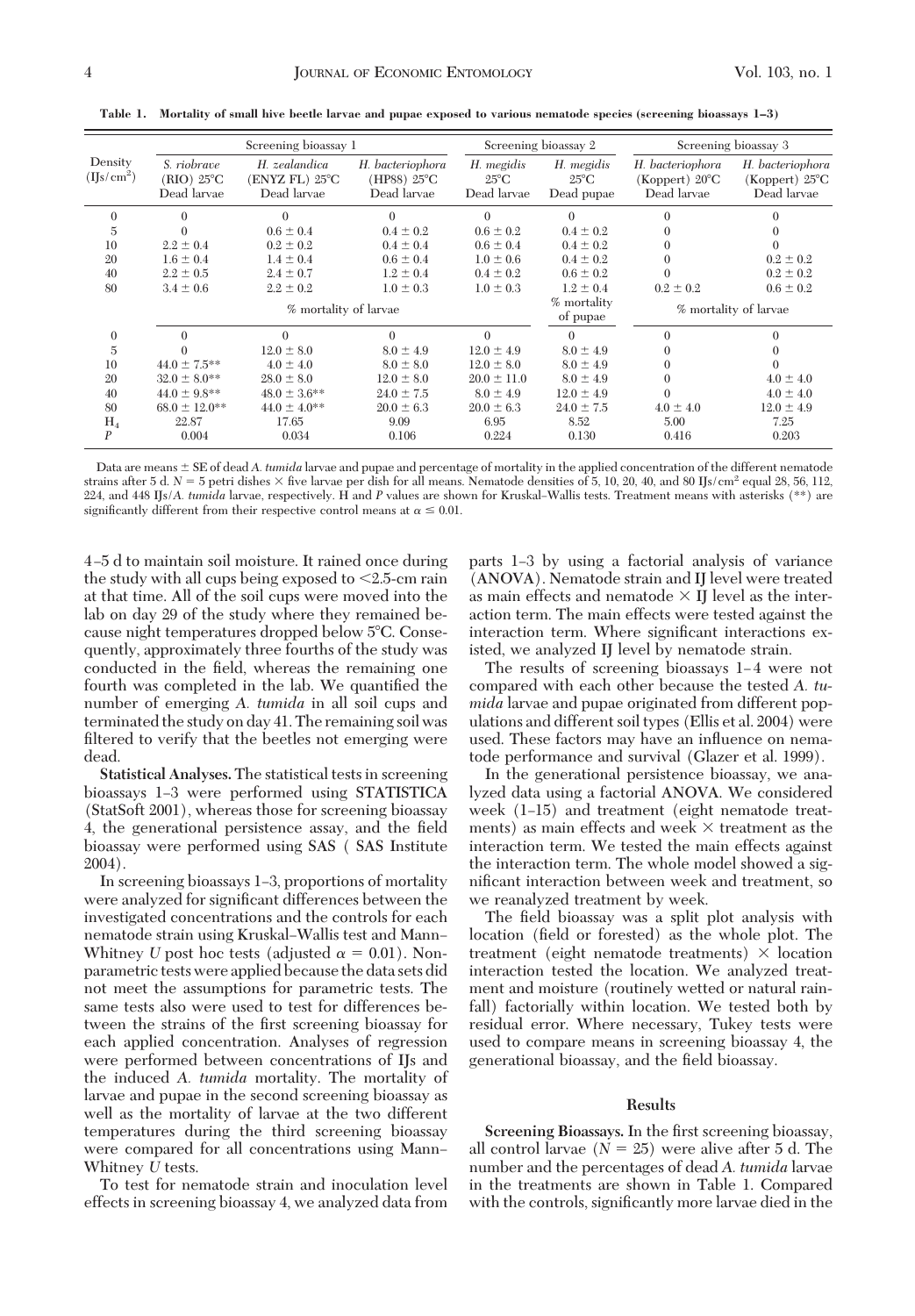|                                   |                                          | Screening bioassay 1                           |                                                |                                             | Screening bioassay 2                       |                                                             | Screening bioassay 3                                        |
|-----------------------------------|------------------------------------------|------------------------------------------------|------------------------------------------------|---------------------------------------------|--------------------------------------------|-------------------------------------------------------------|-------------------------------------------------------------|
| Density<br>(IJs/cm <sup>2</sup> ) | S. riobrave<br>(RIO) 25°C<br>Dead larvae | H. zealandica<br>(ENYZ FL) 25°C<br>Dead larvae | H. bacteriophora<br>(HP88) 25°C<br>Dead larvae | H. megidis<br>$25^{\circ}$ C<br>Dead larvae | H. megidis<br>$25^{\circ}$ C<br>Dead pupae | H. bacteriophora<br>(Koppert) $20^{\circ}$ C<br>Dead larvae | H. bacteriophora<br>(Koppert) $25^{\circ}$ C<br>Dead larvae |
| $\Omega$                          | 0                                        | 0                                              | $\Omega$                                       | $\Omega$                                    | $\Omega$                                   | 0                                                           |                                                             |
| $\overline{5}$                    |                                          | $0.6 \pm 0.4$                                  | $0.4 \pm 0.2$                                  | $0.6 \pm 0.2$                               | $0.4 \pm 0.2$                              |                                                             |                                                             |
| 10                                | $2.2 \pm 0.4$                            | $0.2 \pm 0.2$                                  | $0.4 \pm 0.4$                                  | $0.6 \pm 0.4$                               | $0.4 \pm 0.2$                              |                                                             |                                                             |
| 20                                | $1.6 \pm 0.4$                            | $1.4 \pm 0.4$                                  | $0.6 \pm 0.4$                                  | $1.0 \pm 0.6$                               | $0.4 \pm 0.2$                              |                                                             | $0.2 \pm 0.2$                                               |
| 40                                | $2.2 \pm 0.5$                            | $2.4 \pm 0.7$                                  | $1.2 \pm 0.4$                                  | $0.4 \pm 0.2$                               | $0.6 \pm 0.2$                              |                                                             | $0.2 \pm 0.2$                                               |
| 80                                | $3.4 \pm 0.6$                            | $2.2 \pm 0.2$                                  | $1.0 \pm 0.3$                                  | $1.0 \pm 0.3$                               | $1.2 \pm 0.4$                              | $0.2 \pm 0.2$                                               | $0.6 \pm 0.2$                                               |
|                                   |                                          | % mortality of larvae                          |                                                |                                             | % mortality<br>of pupae                    |                                                             | % mortality of larvae                                       |
| $\mathbf{0}$                      | $\Omega$                                 | $\Omega$                                       | $\Omega$                                       | $\Omega$                                    | $\Omega$                                   | 0                                                           |                                                             |
| 5                                 |                                          | $12.0 \pm 8.0$                                 | $8.0 \pm 4.9$                                  | $12.0 \pm 4.9$                              | $8.0 \pm 4.9$                              |                                                             |                                                             |
| 10                                | $44.0 \pm 7.5$ **                        | $4.0 \pm 4.0$                                  | $8.0 \pm 8.0$                                  | $12.0 \pm 8.0$                              | $8.0 \pm 4.9$                              |                                                             |                                                             |
| 20                                | $32.0 \pm 8.0$ **                        | $28.0 \pm 8.0$                                 | $12.0 \pm 8.0$                                 | $20.0 \pm 11.0$                             | $8.0 \pm 4.9$                              |                                                             | $4.0 \pm 4.0$                                               |
| 40                                | $44.0 \pm 9.8$ **                        | $48.0 \pm 3.6$ **                              | $24.0 \pm 7.5$                                 | $8.0 \pm 4.9$                               | $12.0 \pm 4.9$                             |                                                             | $4.0 \pm 4.0$                                               |
| 80                                | $68.0 \pm 12.0$ **                       | $44.0 \pm 4.0**$                               | $20.0 \pm 6.3$                                 | $20.0 \pm 6.3$                              | $24.0 \pm 7.5$                             | $4.0 \pm 4.0$                                               | $12.0 \pm 4.9$                                              |
| $H_4$                             | 22.87                                    | 17.65                                          | 9.09                                           | 6.95                                        | 8.52                                       | 5.00                                                        | 7.25                                                        |
| P                                 | 0.004                                    | 0.034                                          | 0.106                                          | 0.224                                       | 0.130                                      | 0.416                                                       | 0.203                                                       |

**Table 1. Mortality of small hive beetle larvae and pupae exposed to various nematode species (screening bioassays 1–3)**

Data are means  $\pm$  SE of dead *A. tumida* larvae and pupae and percentage of mortality in the applied concentration of the different nematode strains after 5 d. *N* = 5 petri dishes × five larvae per dish for all means. Nematode densities of 5, 10, 20, 40, and 80 IJs/cm<sup>2</sup> equal 28, 56, 112, 224, and 448 IJs/*A. tumida* larvae, respectively. H and *P* values are shown for Kruskal–Wallis tests. Treatment means with asterisks (\*\*) are significantly different from their respective control means at  $\alpha \leq 0.01$ .

4 Ð5 d to maintain soil moisture. It rained once during the study with all cups being exposed to  $\leq 2.5$ -cm rain at that time. All of the soil cups were moved into the lab on day 29 of the study where they remained because night temperatures dropped below 5°C. Consequently, approximately three fourths of the study was conducted in the field, whereas the remaining one fourth was completed in the lab. We quantified the number of emerging *A. tumida* in all soil cups and terminated the study on day 41. The remaining soil was filtered to verify that the beetles not emerging were dead.

**Statistical Analyses.** The statistical tests in screening bioassays 1–3 were performed using STATISTICA (StatSoft 2001), whereas those for screening bioassay 4, the generational persistence assay, and the field bioassay were performed using SAS ( SAS Institute 2004).

In screening bioassays  $1-3$ , proportions of mortality were analyzed for significant differences between the investigated concentrations and the controls for each nematode strain using Kruskal-Wallis test and Mann-Whitney *U* post hoc tests (adjusted  $\alpha = 0.01$ ). Nonparametric tests were applied because the data sets did not meet the assumptions for parametric tests. The same tests also were used to test for differences between the strains of the first screening bioassay for each applied concentration. Analyses of regression were performed between concentrations of IJs and the induced *A. tumida* mortality. The mortality of larvae and pupae in the second screening bioassay as well as the mortality of larvae at the two different temperatures during the third screening bioassay were compared for all concentrations using Mann-Whitney *U* tests.

To test for nematode strain and inoculation level effects in screening bioassay 4, we analyzed data from parts 1–3 by using a factorial analysis of variance (ANOVA). Nematode strain and IJ level were treated as main effects and nematode  $\times$  IJ level as the interaction term. The main effects were tested against the interaction term. Where significant interactions existed, we analyzed IJ level by nematode strain.

The results of screening bioassays 1-4 were not compared with each other because the tested *A. tumida* larvae and pupae originated from different populations and different soil types (Ellis et al. 2004) were used. These factors may have an inßuence on nematode performance and survival (Glazer et al. 1999).

In the generational persistence bioassay, we analyzed data using a factorial ANOVA. We considered week  $(1-15)$  and treatment (eight nematode treatments) as main effects and week  $\times$  treatment as the interaction term. We tested the main effects against the interaction term. The whole model showed a significant interaction between week and treatment, so we reanalyzed treatment by week.

The field bioassay was a split plot analysis with location (field or forested) as the whole plot. The treatment (eight nematode treatments)  $\times$  location interaction tested the location. We analyzed treatment and moisture (routinely wetted or natural rainfall) factorially within location. We tested both by residual error. Where necessary, Tukey tests were used to compare means in screening bioassay 4, the generational bioassay, and the field bioassay.

## **Results**

**Screening Bioassays.** In the first screening bioassay, all control larvae  $(N = 25)$  were alive after 5 d. The number and the percentages of dead *A. tumida* larvae in the treatments are shown in Table 1. Compared with the controls, significantly more larvae died in the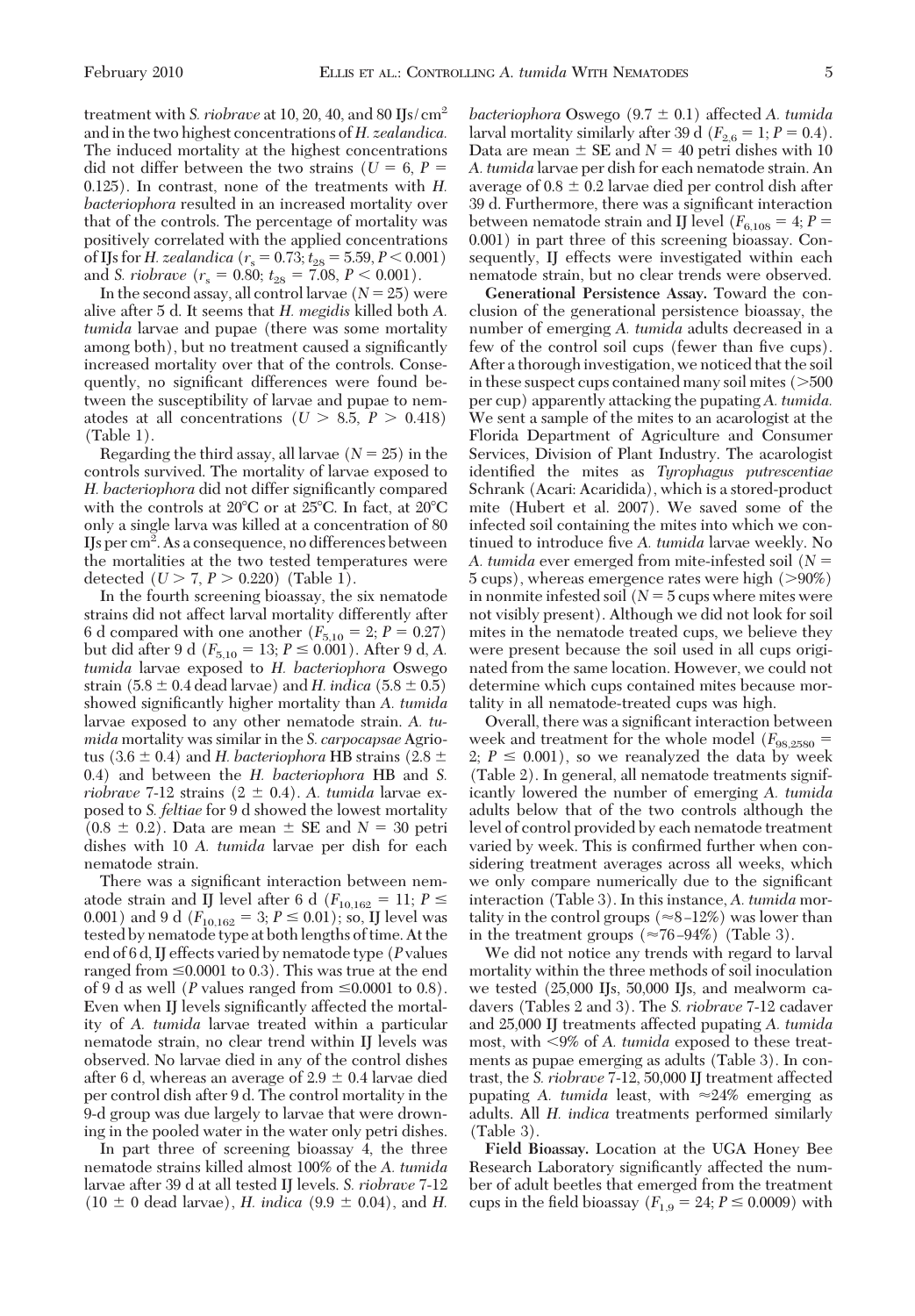treatment with *S. riobrave* at 10, 20, 40, and 80 IJs/cm2 and in the two highest concentrations of *H. zealandica.* The induced mortality at the highest concentrations did not differ between the two strains ( $U = 6, P =$ 0.125). In contrast, none of the treatments with *H. bacteriophora* resulted in an increased mortality over that of the controls. The percentage of mortality was positively correlated with the applied concentrations of IJs for *H. zealandica* ( $r_s = 0.73; t_{28} = 5.59, P \le 0.001$ ) and *S. riobrave*  $(r_s = 0.80; t_{28} = 7.08, P \le 0.001)$ .

In the second assay, all control larvae  $(N = 25)$  were alive after 5 d. It seems that *H. megidis* killed both *A. tumida* larvae and pupae (there was some mortality among both), but no treatment caused a significantly increased mortality over that of the controls. Consequently, no significant differences were found between the susceptibility of larvae and pupae to nematodes at all concentrations  $(U > 8.5, P > 0.418)$ (Table 1).

Regarding the third assay, all larvae  $(N = 25)$  in the controls survived. The mortality of larvae exposed to H. bacteriophora did not differ significantly compared with the controls at  $20^{\circ}$ C or at  $25^{\circ}$ C. In fact, at  $20^{\circ}$ C only a single larva was killed at a concentration of 80 IJs per cm<sup>2</sup>. As a consequence, no differences between the mortalities at the two tested temperatures were detected  $(U > 7, P > 0.220)$  (Table 1).

In the fourth screening bioassay, the six nematode strains did not affect larval mortality differently after 6 d compared with one another  $(F_{5,10} = 2; P = 0.27)$ but did after 9 d ( $F_{5,10} = 13; P \le 0.001$ ). After 9 d, *A*. *tumida* larvae exposed to *H. bacteriophora* Oswego strain  $(5.8 \pm 0.4 \text{ dead larvae})$  and *H. indica*  $(5.8 \pm 0.5)$ showed significantly higher mortality than *A. tumida* larvae exposed to any other nematode strain. *A. tumida* mortality was similar in the *S. carpocapsae* Agriotus (3.6  $\pm$  0.4) and *H. bacteriophora* HB strains (2.8  $\pm$ 0.4) and between the *H. bacteriophora* HB and *S. riobrave* 7-12 strains  $(2 \pm 0.4)$ . *A. tumida* larvae exposed to *S. feltiae* for 9 d showed the lowest mortality  $(0.8 \pm 0.2)$ . Data are mean  $\pm$  SE and  $N = 30$  petri dishes with 10 *A. tumida* larvae per dish for each nematode strain.

There was a significant interaction between nematode strain and IJ level after 6 d ( $F_{10,162} = 11; P \leq$ 0.001) and 9 d ( $F_{10,162} = 3; P \le 0.01$ ); so, IJ level was tested by nematode type at bothlengths of time. At the end of 6 d, IJ effects varied by nematode type (*P* values ranged from  $\leq 0.0001$  to 0.3). This was true at the end of 9 d as well (*P* values ranged from  $\leq 0.0001$  to 0.8). Even when IJ levels significantly affected the mortality of *A. tumida* larvae treated within a particular nematode strain, no clear trend within IJ levels was observed. No larvae died in any of the control dishes after 6 d, whereas an average of  $2.9 \pm 0.4$  larvae died per control dish after 9 d. The control mortality in the 9-d group was due largely to larvae that were drowning in the pooled water in the water only petri dishes.

In part three of screening bioassay 4, the three nematode strains killed almost 100% of the *A. tumida* larvae after 39 d at all tested IJ levels. *S. riobrave* 7-12  $(10 \pm 0 \text{ dead larvae})$ , *H. indica*  $(9.9 \pm 0.04)$ , and *H.*  *bacteriophora* Oswego (9.7  $\pm$  0.1) affected *A. tumida* larval mortality similarly after 39 d ( $F_{2,6} = 1; P = 0.4$ ). Data are mean  $\pm$  SE and  $N = 40$  petri dishes with 10 *A. tumida* larvae per dish for each nematode strain. An average of  $0.8 \pm 0.2$  larvae died per control dish after 39 d. Furthermore, there was a significant interaction between nematode strain and IJ level ( $F_{6,108} = 4; P =$ 0.001) in part three of this screening bioassay. Consequently, IJ effects were investigated within each nematode strain, but no clear trends were observed.

**Generational Persistence Assay.** Toward the conclusion of the generational persistence bioassay, the number of emerging *A. tumida* adults decreased in a few of the control soil cups (fewer than five cups). After a thorough investigation, we noticed that the soil in these suspect cups contained many soil mites  $($ >500 per cup) apparently attacking the pupating *A. tumida.* We sent a sample of the mites to an acarologist at the Florida Department of Agriculture and Consumer Services, Division of Plant Industry. The acarologist identified the mites as *Tyrophagus putrescentiae* Schrank (Acari: Acaridida), which is a stored-product mite (Hubert et al. 2007). We saved some of the infected soil containing the mites into which we continued to introduce five *A. tumida* larvae weekly. No *A. tumida* ever emerged from mite-infested soil (*N* 5 cups), whereas emergence rates were high (90%) in nonmite infested soil  $(N = 5$  cups where mites were not visibly present). Although we did not look for soil mites in the nematode treated cups, we believe they were present because the soil used in all cups originated from the same location. However, we could not determine which cups contained mites because mortality in all nematode-treated cups was high.

Overall, there was a significant interaction between week and treatment for the whole model  $(F_{98.2580} =$ 2;  $P \leq 0.001$ ), so we reanalyzed the data by week (Table 2). In general, all nematode treatments significantly lowered the number of emerging *A. tumida* adults below that of the two controls although the level of control provided by each nematode treatment varied by week. This is confirmed further when considering treatment averages across all weeks, which we only compare numerically due to the significant interaction (Table 3). In this instance, *A. tumida* mortality in the control groups ( $\approx$ 8-12%) was lower than in the treatment groups  $(\approx 76 - 94%)$  (Table 3).

We did not notice any trends with regard to larval mortality within the three methods of soil inoculation we tested (25,000 IJs, 50,000 IJs, and mealworm cadavers (Tables 2 and 3). The *S. riobrave* 7-12 cadaver and 25,000 IJ treatments affected pupating *A. tumida* most, with 9% of *A. tumida* exposed to these treatments as pupae emerging as adults (Table 3). In contrast, the *S. riobrave* 7-12, 50,000 IJ treatment affected pupating A. tumida least, with  $\approx 24\%$  emerging as adults. All *H. indica* treatments performed similarly (Table 3).

**Field Bioassay.** Location at the UGA Honey Bee Research Laboratory significantly affected the number of adult beetles that emerged from the treatment cups in the field bioassay ( $F_{1,9} = 24$ ;  $P \le 0.0009$ ) with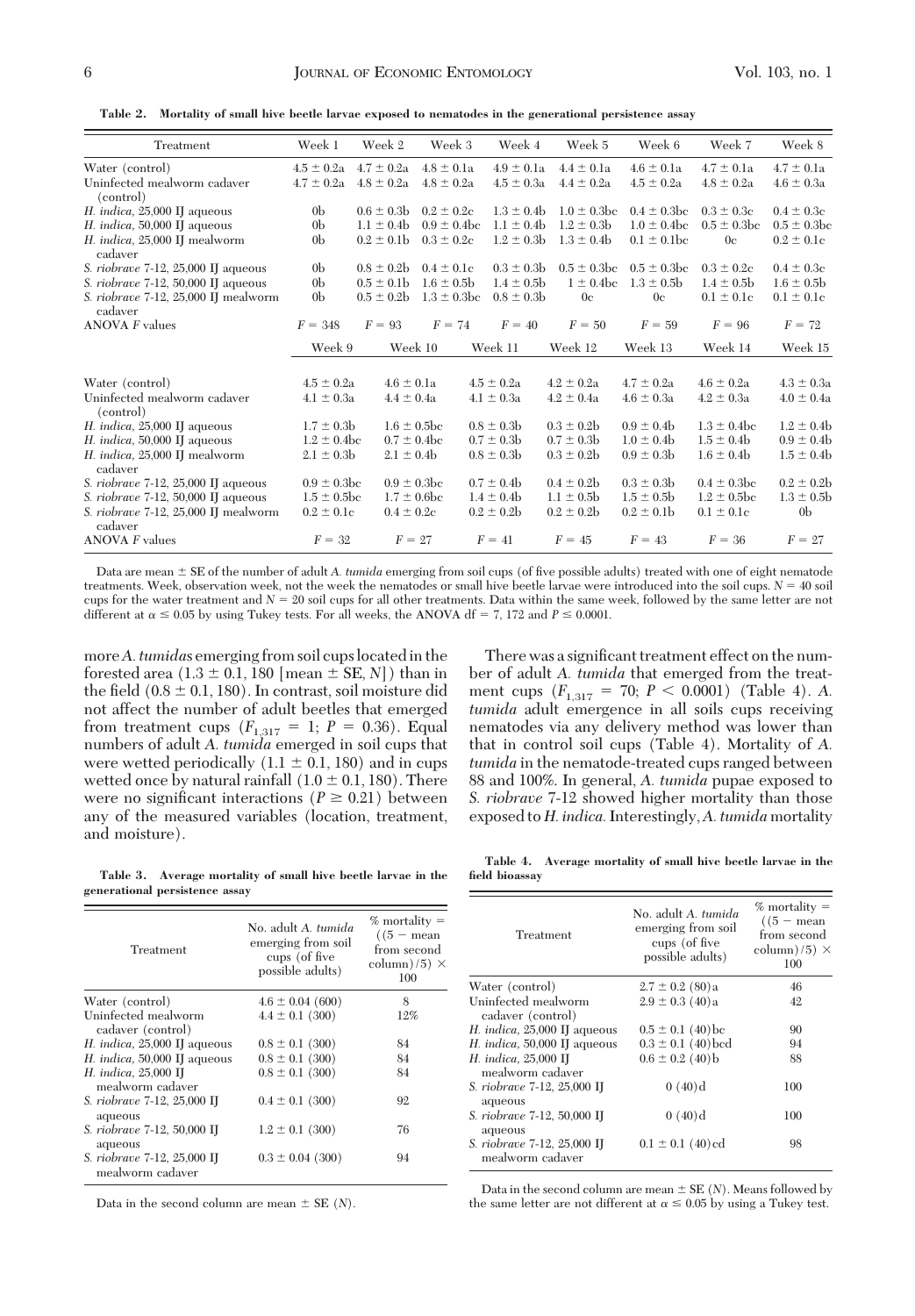**Table 2. Mortality of small hive beetle larvae exposed to nematodes in the generational persistence assay**

| Treatment                                       | Week 1           | Week 2           | Week 3           | Week 4         | Week 5                    | Week 6           | Week 7           | Week 8           |
|-------------------------------------------------|------------------|------------------|------------------|----------------|---------------------------|------------------|------------------|------------------|
| Water (control)                                 | $4.5 \pm 0.2a$   | $4.7 \pm 0.2a$   | $4.8 \pm 0.1a$   | $4.9 \pm 0.1a$ | $4.4 \pm 0.1a$            | $4.6 \pm 0.1a$   | $4.7 \pm 0.1a$   | $4.7 \pm 0.1a$   |
| Uninfected mealworm cadaver<br>(control)        | $4.7 \pm 0.2a$   | $4.8 \pm 0.2a$   | $4.8 \pm 0.2a$   | $4.5 \pm 0.3a$ | $4.4 \pm 0.2a$            | $4.5 \pm 0.2a$   | $4.8 \pm 0.2a$   | $4.6 \pm 0.3a$   |
| $H.$ indica, 25,000 IJ aqueous                  | 0 <sub>b</sub>   | $0.6 \pm 0.3$    | $0.2 \pm 0.2c$   | $1.3 \pm 0.4$  | $1.0 \pm 0.3$ bc          | $0.4 \pm 0.3$ bc | $0.3 \pm 0.3c$   | $0.4 \pm 0.3c$   |
| H. indica, 50,000 IJ aqueous                    | 0 <sub>b</sub>   | $1.1 \pm 0.4$    | $0.9 \pm 0.4$ bc | $1.1 \pm 0.4$  | $1.2 \pm 0.3$             | $1.0 \pm 0.4$ bc | $0.5 \pm 0.3$ bc | $0.5 \pm 0.3$ bc |
| H. indica, 25,000 IJ mealworm<br>cadaver        | 0 <sub>b</sub>   | $0.2 \pm 0.1$    | $0.3 \pm 0.2c$   | $1.2 \pm 0.3$  | $1.3 \pm 0.4$             | $0.1 \pm 0.1$ bc | 0 <sub>c</sub>   | $0.2 \pm 0.1c$   |
| S. riobrave 7-12, 25,000 IJ aqueous             | 0 <sub>b</sub>   | $0.8 \pm 0.2 b$  | $0.4 \pm 0.1c$   | $0.3 \pm 0.3$  | $0.5 \pm 0.3 \mathrm{bc}$ | $0.5 \pm 0.3$ bc | $0.3 \pm 0.2c$   | $0.4 \pm 0.3c$   |
| S. riobrave 7-12, 50,000 IJ aqueous             | 0 <sub>b</sub>   | $0.5 \pm 0.1$    | $1.6 \pm 0.5$    | $1.4 \pm 0.5$  | $1 \pm 0.4$ bc            | $1.3 \pm 0.5$    | $1.4 \pm 0.5$    | $1.6 \pm 0.5$    |
| S. riobrave 7-12, 25,000 IJ mealworm<br>cadaver | 0 <sub>b</sub>   | $0.5 \pm 0.2$    | $1.3 \pm 0.3$ bc | $0.8 \pm 0.3$  | 0 <sub>c</sub>            | 0 <sub>c</sub>   | $0.1 \pm 0.1c$   | $0.1 \pm 0.1c$   |
| <b>ANOVA</b> F values                           | $F = 348$        | $F = 93$         | $F = 74$         | $F = 40$       | $F = 50$                  | $F = 59$         | $F = 96$         | $F = 72$         |
|                                                 | Week 9           |                  | Week 10          | Week 11        | Week 12                   | Week 13          | Week 14          | Week 15          |
| Water (control)                                 | $4.5 \pm 0.2a$   | $4.6 \pm 0.1a$   |                  | $4.5 \pm 0.2a$ | $4.2 \pm 0.2a$            | $4.7 \pm 0.2a$   | $4.6 \pm 0.2a$   | $4.3 \pm 0.3a$   |
| Uninfected mealworm cadaver                     | $4.1 \pm 0.3a$   | $4.4 \pm 0.4a$   |                  | $4.1 \pm 0.3a$ | $4.2 \pm 0.4a$            | $4.6 \pm 0.3a$   | $4.2 \pm 0.3a$   | $4.0 \pm 0.4a$   |
| (control)                                       |                  |                  |                  |                |                           |                  |                  |                  |
| H. indica, 25,000 II aqueous                    | $1.7 \pm 0.3b$   |                  | $1.6 \pm 0.5$ bc | $0.8 \pm 0.3$  | $0.3 \pm 0.2$             | $0.9 \pm 0.4$    | $1.3 \pm 0.4$ bc | $1.2 \pm 0.4$    |
| H. indica, 50,000 II aqueous                    | $1.2 \pm 0.4$ bc | $0.7 \pm 0.4$ bc |                  | $0.7 \pm 0.3b$ | $0.7 \pm 0.3b$            | $1.0 \pm 0.4$    | $1.5 \pm 0.4$    | $0.9 \pm 0.4$    |
| H. indica, 25,000 IJ mealworm<br>cadaver        | $2.1 \pm 0.3$    | $2.1 \pm 0.4$    |                  | $0.8 \pm 0.3$  | $0.3 \pm 0.2b$            | $0.9 \pm 0.3 b$  | $1.6 \pm 0.4$    | $1.5 \pm 0.4$    |
| S. riobrave 7-12, 25,000 IJ aqueous             | $0.9 \pm 0.3$ bc |                  | $0.9 \pm 0.3$ bc | $0.7 \pm 0.4$  | $0.4 \pm 0.2$             | $0.3 \pm 0.3$    | $0.4 \pm 0.3$ bc | $0.2 \pm 0.2$    |
| S. riobrave 7-12, 50,000 IJ aqueous             | $1.5 \pm 0.5$ bc |                  | $1.7 \pm 0.6$ be | $1.4 \pm 0.4$  | $1.1 \pm 0.5$             | $1.5 \pm 0.5$    | $1.2 \pm 0.5$ bc | $1.3 \pm 0.5$    |
| S. riobrave 7-12, 25,000 IJ mealworm<br>cadaver | $0.2 \pm 0.1c$   | $0.4 \pm 0.2c$   |                  | $0.2 \pm 0.2$  | $0.2 \pm 0.2b$            | $0.2 \pm 0.1$    | $0.1 \pm 0.1c$   | 0 <sub>b</sub>   |
| <b>ANOVA</b> F values                           | $F = 32$         | $F = 27$         |                  | $F = 41$       | $F = 45$                  | $F = 43$         | $F = 36$         | $F = 27$         |
|                                                 |                  |                  |                  |                |                           |                  |                  |                  |

Data are mean  $\pm$  SE of the number of adult *A. tumida* emerging from soil cups (of five possible adults) treated with one of eight nematode treatments. Week, observation week, not the week the nematodes or small hive beetle larvae were introduced into the soil cups. *N* = 40 soil cups for the water treatment and *N* 20 soil cups for all other treatments. Data within the same week, followed by the same letter are not different at  $\alpha \le 0.05$  by using Tukey tests. For all weeks, the ANOVA df = 7, 172 and  $P \le 0.0001$ .

more *A. tumidas* emerging from soil cups located in the forested area  $(1.3 \pm 0.1, 180$  [mean  $\pm$  SE, *N*]) than in the field  $(0.8 \pm 0.1, 180)$ . In contrast, soil moisture did not affect the number of adult beetles that emerged from treatment cups  $(F_{1,317} = 1; P = 0.36)$ . Equal numbers of adult *A. tumida* emerged in soil cups that were wetted periodically  $(1.1 \pm 0.1, 180)$  and in cups wetted once by natural rainfall  $(1.0 \pm 0.1, 180)$ . There were no significant interactions ( $P \geq 0.21$ ) between any of the measured variables (location, treatment, and moisture).

There was a significant treatment effect on the number of adult *A. tumida* that emerged from the treatment cups  $(F_{1,317} = 70; P \le 0.0001)$  (Table 4). *A*. *tumida* adult emergence in all soils cups receiving nematodes via any delivery method was lower than that in control soil cups (Table 4). Mortality of *A. tumida* in the nematode-treated cups ranged between 88 and 100%. In general, *A. tumida* pupae exposed to *S. riobrave* 7-12 showed higher mortality than those exposed to *H. indica.*Interestingly,*A. tumida* mortality

**Table 3. Average mortality of small hive beetle larvae in the generational persistence assay**

| Treatment                                       | No. adult A. tumida<br>emerging from soil<br>cups (of five<br>possible adults) | $%$ mortality =<br>$((5 - \text{mean})$<br>from second<br>column $(5) \times$<br>100 |
|-------------------------------------------------|--------------------------------------------------------------------------------|--------------------------------------------------------------------------------------|
| Water (control)                                 | $4.6 \pm 0.04$ (600)                                                           | 8                                                                                    |
| Uninfected mealworm<br>cadaver (control)        | $4.4 \pm 0.1$ (300)                                                            | 12%                                                                                  |
| H. indica, $25,000$ IJ aqueous                  | $0.8 \pm 0.1$ (300)                                                            | 84                                                                                   |
| $H.$ indica, 50,000 IJ aqueous                  | $0.8 \pm 0.1$ (300)                                                            | 84                                                                                   |
| H. indica, 25,000 IJ<br>mealworm cadaver        | $0.8 \pm 0.1$ (300)                                                            | 84                                                                                   |
| S. riobrave 7-12, 25,000 IJ<br>aqueous          | $0.4 \pm 0.1$ (300)                                                            | 92                                                                                   |
| S. riobrave 7-12, 50,000 IJ<br>aqueous          | $1.2 \pm 0.1$ (300)                                                            | 76                                                                                   |
| S. riobrave 7-12, 25,000 IJ<br>mealworm cadaver | $0.3 \pm 0.04$ (300)                                                           | 94                                                                                   |

Data in the second column are mean  $\pm$  SE (*N*).

**Table 4. Average mortality of small hive beetle larvae in the field bioassay**

| Treatment                                       | No. adult A. tumida<br>emerging from soil<br>cups (of five<br>possible adults) | $\%$ mortality $=$<br>$(15 - \text{mean})$<br>from second<br>$\text{column}}(5) \times$<br>100 |
|-------------------------------------------------|--------------------------------------------------------------------------------|------------------------------------------------------------------------------------------------|
| Water (control)                                 | $2.7 \pm 0.2$ (80)a                                                            | 46                                                                                             |
| Uninfected mealworm<br>cadaver (control)        | $2.9 \pm 0.3$ (40)a                                                            | 42                                                                                             |
| H. indica, $25,000$ IJ aqueous                  | $0.5 \pm 0.1$ (40) bc                                                          | 90                                                                                             |
| H. indica, 50,000 IJ aqueous                    | $0.3 \pm 0.1$ (40) bed                                                         | 94                                                                                             |
| H. indica, $25,000$ IJ<br>mealworm cadaver      | $0.6 \pm 0.2$ (40)b                                                            | 88                                                                                             |
| S. riobrave 7-12, 25,000 IJ<br>aqueous          | 0(40)d                                                                         | 100                                                                                            |
| S. riobrave 7-12, 50,000 IJ<br>aqueous          | 0(40)d                                                                         | 100                                                                                            |
| S. riobrave 7-12, 25,000 IJ<br>mealworm cadaver | $0.1 \pm 0.1$ (40) cd                                                          | 98                                                                                             |

Data in the second column are mean  $\pm$  SE (*N*). Means followed by the same letter are not different at  $\alpha \leq 0.05$  by using a Tukey test.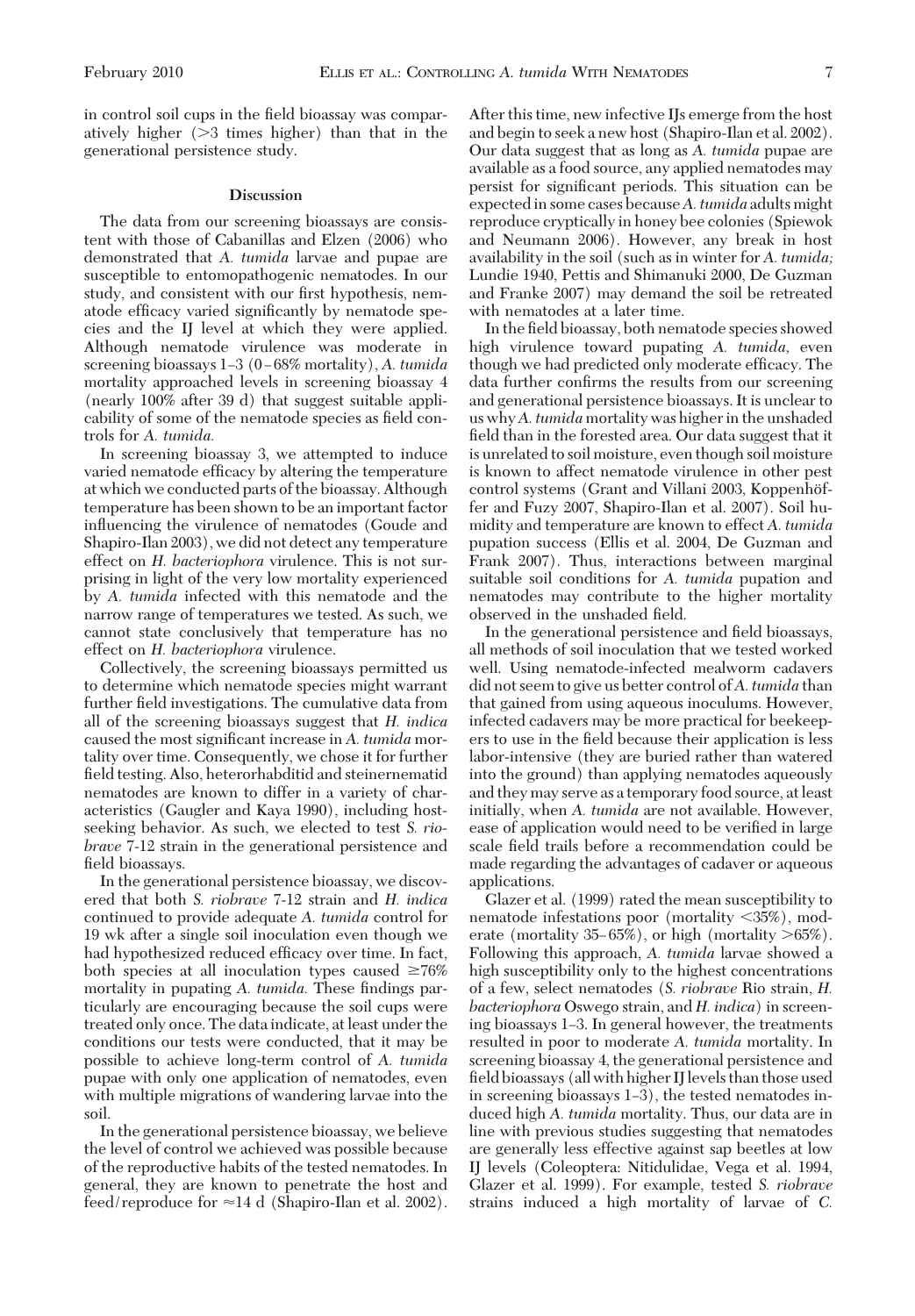in control soil cups in the field bioassay was comparatively higher  $(>3$  times higher) than that in the generational persistence study.

#### **Discussion**

The data from our screening bioassays are consistent with those of Cabanillas and Elzen (2006) who demonstrated that *A. tumida* larvae and pupae are susceptible to entomopathogenic nematodes. In our study, and consistent with our first hypothesis, nematode efficacy varied significantly by nematode species and the IJ level at which they were applied. Although nematode virulence was moderate in screening bioassays 1–3 (0–68% mortality), *A. tumida* mortality approached levels in screening bioassay 4 (nearly 100% after 39 d) that suggest suitable applicability of some of the nematode species as field controls for *A. tumida.*

In screening bioassay 3, we attempted to induce varied nematode efficacy by altering the temperature at which we conducted parts of the bioassay. Although temperature has been shown to be an important factor inßuencing the virulence of nematodes (Goude and Shapiro-Ilan 2003), we did not detect any temperature effect on *H. bacteriophora* virulence. This is not surprising in light of the very low mortality experienced by *A. tumida* infected with this nematode and the narrow range of temperatures we tested. As such, we cannot state conclusively that temperature has no effect on *H. bacteriophora* virulence.

Collectively, the screening bioassays permitted us to determine which nematode species might warrant further field investigations. The cumulative data from all of the screening bioassays suggest that *H. indica* caused the most significant increase in A. tumida mortality over time. Consequently, we chose it for further field testing. Also, heterorhabditid and steinernematid nematodes are known to differ in a variety of characteristics (Gaugler and Kaya 1990), including hostseeking behavior. As such, we elected to test *S. riobrave* 7-12 strain in the generational persistence and field bioassays.

In the generational persistence bioassay, we discovered that both *S. riobrave* 7-12 strain and *H. indica* continued to provide adequate *A. tumida* control for 19 wk after a single soil inoculation even though we had hypothesized reduced efficacy over time. In fact, both species at all inoculation types caused  $\geq 76\%$ mortality in pupating A. tumida. These findings particularly are encouraging because the soil cups were treated only once. The data indicate, at least under the conditions our tests were conducted, that it may be possible to achieve long-term control of *A. tumida* pupae with only one application of nematodes, even with multiple migrations of wandering larvae into the soil.

In the generational persistence bioassay, we believe the level of control we achieved was possible because of the reproductive habits of the tested nematodes. In general, they are known to penetrate the host and feed/reproduce for  $\approx$  14 d (Shapiro-Ilan et al. 2002).

After this time, new infective IJs emerge from the host and begin to seek a new host (Shapiro-Ilan et al. 2002). Our data suggest that as long as *A. tumida* pupae are available as a food source, any applied nematodes may persist for significant periods. This situation can be expectedin some cases because*A. tumida* adults might reproduce cryptically in honey bee colonies (Spiewok and Neumann 2006). However, any break in host availability in the soil (such as in winter for *A. tumida;* Lundie 1940, Pettis and Shimanuki 2000, De Guzman and Franke 2007) may demand the soil be retreated with nematodes at a later time.

In the field bioassay, both nematode species showed high virulence toward pupating *A. tumida,* even though we had predicted only moderate efficacy. The data further confirms the results from our screening and generational persistence bioassays. It is unclear to us why*A. tumida* mortality was higher in the unshaded field than in the forested area. Our data suggest that it is unrelated to soil moisture, even though soil moisture is known to affect nematode virulence in other pest control systems (Grant and Villani 2003, Koppenhöffer and Fuzy 2007, Shapiro-Ilan et al. 2007). Soil humidity and temperature are known to effect *A. tumida* pupation success (Ellis et al. 2004, De Guzman and Frank 2007). Thus, interactions between marginal suitable soil conditions for *A. tumida* pupation and nematodes may contribute to the higher mortality observed in the unshaded field.

In the generational persistence and field bioassays, all methods of soil inoculation that we tested worked well. Using nematode-infected mealworm cadavers did not seem to give us better control of*A. tumida* than that gained from using aqueous inoculums. However, infected cadavers may be more practical for beekeepers to use in the field because their application is less labor-intensive (they are buried rather than watered into the ground) than applying nematodes aqueously and they may serve as a temporary food source, at least initially, when *A. tumida* are not available. However, ease of application would need to be verified in large scale field trails before a recommendation could be made regarding the advantages of cadaver or aqueous applications.

Glazer et al. (1999) rated the mean susceptibility to nematode infestations poor (mortality 35%), moderate (mortality 35–65%), or high (mortality  $>65\%$ ). Following this approach, *A. tumida* larvae showed a high susceptibility only to the highest concentrations of a few, select nematodes (*S. riobrave* Rio strain, *H. bacteriophora* Oswego strain, and *H. indica*) in screening bioassays 1–3. In general however, the treatments resulted in poor to moderate *A. tumida* mortality. In screening bioassay 4, the generational persistence and field bioassays (all with higher IJ levels than those used in screening bioassays  $1-3$ ), the tested nematodes induced high *A. tumida* mortality. Thus, our data are in line with previous studies suggesting that nematodes are generally less effective against sap beetles at low IJ levels (Coleoptera: Nitidulidae, Vega et al. 1994, Glazer et al. 1999). For example, tested *S. riobrave* strains induced a high mortality of larvae of *C.*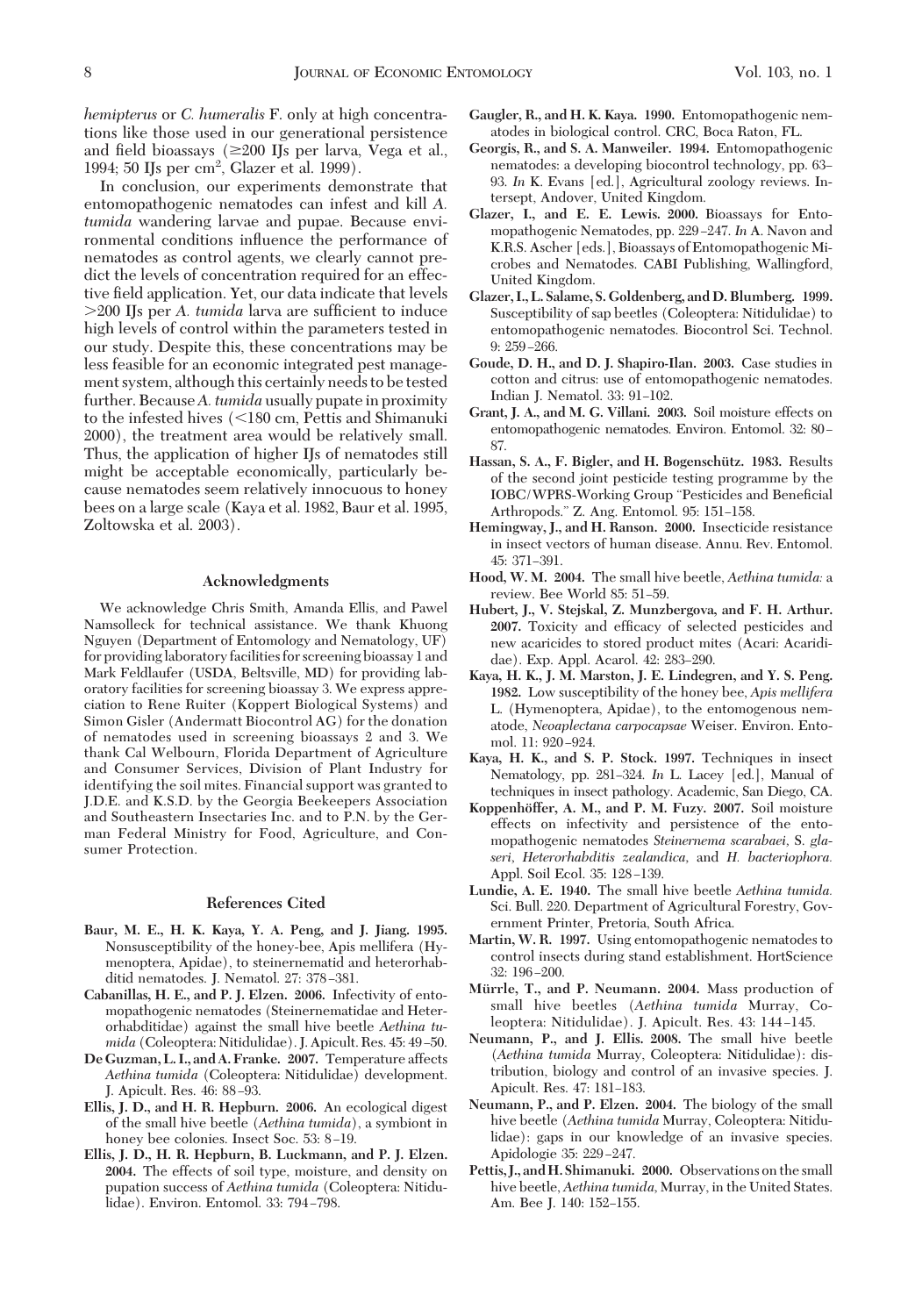*hemipterus* or *C. humeralis* F. only at high concentrations like those used in our generational persistence and field bioassays ( $\geq 200$  IJs per larva, Vega et al., 1994; 50 IJs per cm2 , Glazer et al. 1999).

In conclusion, our experiments demonstrate that entomopathogenic nematodes can infest and kill *A. tumida* wandering larvae and pupae. Because environmental conditions inßuence the performance of nematodes as control agents, we clearly cannot predict the levels of concentration required for an effective field application. Yet, our data indicate that levels >200 IJs per *A. tumida* larva are sufficient to induce high levels of control within the parameters tested in our study. Despite this, these concentrations may be less feasible for an economic integrated pest management system, although this certainly needs to be tested further. Because*A. tumida* usually pupate in proximity to the infested hives  $\langle$  <180 cm, Pettis and Shimanuki 2000), the treatment area would be relatively small. Thus, the application of higher IJs of nematodes still might be acceptable economically, particularly because nematodes seem relatively innocuous to honey bees on a large scale (Kaya et al. 1982, Baur et al. 1995, Zoltowska et al. 2003).

## **Acknowledgments**

We acknowledge Chris Smith, Amanda Ellis, and Pawel Namsolleck for technical assistance. We thank Khuong Nguyen (Department of Entomology and Nematology, UF) for providinglaboratory facilities for screening bioassay 1 and Mark Feldlaufer (USDA, Beltsville, MD) for providing laboratory facilities for screening bioassay 3. We express appreciation to Rene Ruiter (Koppert Biological Systems) and Simon Gisler (Andermatt Biocontrol AG) for the donation of nematodes used in screening bioassays 2 and 3. We thank Cal Welbourn, Florida Department of Agriculture and Consumer Services, Division of Plant Industry for identifying the soil mites. Financial support was granted to J.D.E. and K.S.D. by the Georgia Beekeepers Association and Southeastern Insectaries Inc. and to P.N. by the German Federal Ministry for Food, Agriculture, and Consumer Protection.

#### **References Cited**

- **Baur, M. E., H. K. Kaya, Y. A. Peng, and J. Jiang. 1995.** Nonsusceptibility of the honey-bee, Apis mellifera (Hymenoptera, Apidae), to steinernematid and heterorhabditid nematodes. J. Nematol. 27: 378-381.
- **Cabanillas, H. E., and P. J. Elzen. 2006.** Infectivity of entomopathogenic nematodes (Steinernematidae and Heterorhabditidae) against the small hive beetle *Aethina tumida* (Coleoptera: Nitidulidae). J. Apicult. Res. 45: 49-50.
- **De Guzman, L. I., and A. Franke. 2007.** Temperature affects *Aethina tumida* (Coleoptera: Nitidulidae) development. J. Apicult. Res. 46: 88-93.
- **Ellis, J. D., and H. R. Hepburn. 2006.** An ecological digest of the small hive beetle (*Aethina tumida*), a symbiont in honey bee colonies. Insect Soc. 53: 8-19.
- **Ellis, J. D., H. R. Hepburn, B. Luckmann, and P. J. Elzen. 2004.** The effects of soil type, moisture, and density on pupation success of *Aethina tumida* (Coleoptera: Nitidulidae). Environ. Entomol. 33: 794-798.
- **Gaugler, R., and H. K. Kaya. 1990.** Entomopathogenic nematodes in biological control. CRC, Boca Raton, FL.
- **Georgis, R., and S. A. Manweiler. 1994.** Entomopathogenic nematodes: a developing biocontrol technology, pp. 63– 93. *In* K. Evans [ed.], Agricultural zoology reviews. Intersept, Andover, United Kingdom.
- **Glazer, I., and E. E. Lewis. 2000.** Bioassays for Entomopathogenic Nematodes, pp. 229-247. In A. Navon and K.R.S. Ascher [eds.], Bioassays of Entomopathogenic Microbes and Nematodes. CABI Publishing, Wallingford, United Kingdom.
- **Glazer, I., L. Salame, S. Goldenberg, and D. Blumberg. 1999.** Susceptibility of sap beetles (Coleoptera: Nitidulidae) to entomopathogenic nematodes. Biocontrol Sci. Technol.  $9: 259 - 266.$
- **Goude, D. H., and D. J. Shapiro-Ilan. 2003.** Case studies in cotton and citrus: use of entomopathogenic nematodes. Indian J. Nematol. 33: 91-102.
- **Grant, J. A., and M. G. Villani. 2003.** Soil moisture effects on entomopathogenic nematodes. Environ. Entomol. 32: 80-87.
- Hassan, S. A., F. Bigler, and H. Bogenschütz. 1983. Results of the second joint pesticide testing programme by the IOBC/WPRS-Working Group "Pesticides and Beneficial Arthropods." Z. Ang. Entomol. 95: 151-158.
- **Hemingway, J., and H. Ranson. 2000.** Insecticide resistance in insect vectors of human disease. Annu. Rev. Entomol. 45: 371-391.
- **Hood, W. M. 2004.** The small hive beetle, *Aethina tumida:* a review. Bee World 85: 51-59.
- **Hubert, J., V. Stejskal, Z. Munzbergova, and F. H. Arthur. 2007.** Toxicity and efficacy of selected pesticides and new acaricides to stored product mites (Acari: Acarididae). Exp. Appl. Acarol. 42: 283-290.
- **Kaya, H. K., J. M. Marston, J. E. Lindegren, and Y. S. Peng. 1982.** Low susceptibility of the honey bee, *Apis mellifera* L. (Hymenoptera, Apidae), to the entomogenous nematode, *Neoaplectana carpocapsae* Weiser. Environ. Entomol. 11: 920-924.
- **Kaya, H. K., and S. P. Stock. 1997.** Techniques in insect Nematology, pp. 281-324. *In* L. Lacey [ed.], Manual of techniques in insect pathology. Academic, San Diego, CA.
- **Koppenho¨ffer, A. M., and P. M. Fuzy. 2007.** Soil moisture effects on infectivity and persistence of the entomopathogenic nematodes *Steinernema scarabaei,* S. *glaseri, Heterorhabditis zealandica,* and *H. bacteriophora.* Appl. Soil Ecol. 35: 128-139.
- **Lundie, A. E. 1940.** The small hive beetle *Aethina tumida.* Sci. Bull. 220. Department of Agricultural Forestry, Government Printer, Pretoria, South Africa.
- **Martin, W. R. 1997.** Using entomopathogenic nematodes to control insects during stand establishment. HortScience 32: 196-200.
- Mürrle, T., and P. Neumann. 2004. Mass production of small hive beetles (*Aethina tumida* Murray, Coleoptera: Nitidulidae). J. Apicult. Res. 43: 144-145.
- **Neumann, P., and J. Ellis. 2008.** The small hive beetle (*Aethina tumida* Murray, Coleoptera: Nitidulidae): distribution, biology and control of an invasive species. J. Apicult. Res. 47: 181-183.
- **Neumann, P., and P. Elzen. 2004.** The biology of the small hive beetle (*Aethina tumida* Murray, Coleoptera: Nitidulidae): gaps in our knowledge of an invasive species. Apidologie 35: 229-247.
- **Pettis, J., andH. Shimanuki. 2000.** Observations on the small hive beetle, *Aethina tumida,* Murray, in the United States. Am. Bee J. 140: 152-155.